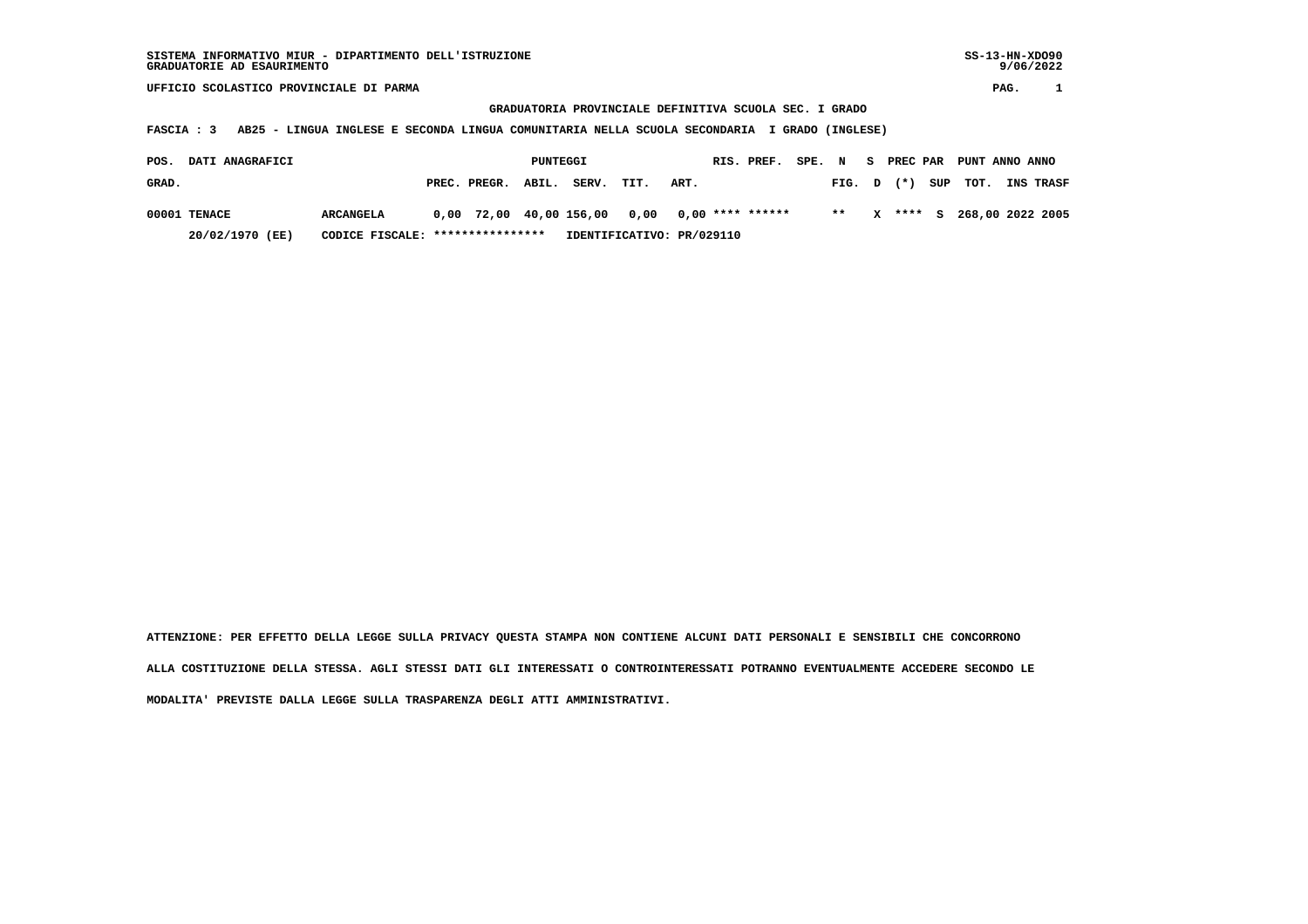9/06/2022

 **UFFICIO SCOLASTICO PROVINCIALE DI PARMA PAG. 1**

 **GRADUATORIA PROVINCIALE DEFINITIVA SCUOLA SEC. I GRADO**

 **FASCIA : 3 AB25 - LINGUA INGLESE E SECONDA LINGUA COMUNITARIA NELLA SCUOLA SECONDARIA I GRADO (INGLESE)**

| POS.  | DATI ANAGRAFICI |           | PUNTEGGI                         |                    |  |                           |                                                 |      | RIS. PREF. SPE. N |       |                |  | S PREC PAR PUNT ANNO ANNO |                               |
|-------|-----------------|-----------|----------------------------------|--------------------|--|---------------------------|-------------------------------------------------|------|-------------------|-------|----------------|--|---------------------------|-------------------------------|
| GRAD. |                 |           |                                  | PREC. PREGR. ABIL. |  | SERV.                     | TIT.                                            | ART. |                   |       |                |  |                           | FIG. D (*) SUP TOT. INS TRASF |
|       | 00001 TENACE    | ARCANGELA |                                  |                    |  |                           | $0.00$ 72.00 40.00 156.00 0.00 0.00 **** ****** |      |                   | $***$ | $\mathbf{x}$ . |  |                           | **** S 268,00 2022 2005       |
|       | 20/02/1970 (EE) |           | CODICE FISCALE: **************** |                    |  | IDENTIFICATIVO: PR/029110 |                                                 |      |                   |       |                |  |                           |                               |

 **ATTENZIONE: PER EFFETTO DELLA LEGGE SULLA PRIVACY QUESTA STAMPA NON CONTIENE ALCUNI DATI PERSONALI E SENSIBILI CHE CONCORRONO ALLA COSTITUZIONE DELLA STESSA. AGLI STESSI DATI GLI INTERESSATI O CONTROINTERESSATI POTRANNO EVENTUALMENTE ACCEDERE SECONDO LE MODALITA' PREVISTE DALLA LEGGE SULLA TRASPARENZA DEGLI ATTI AMMINISTRATIVI.**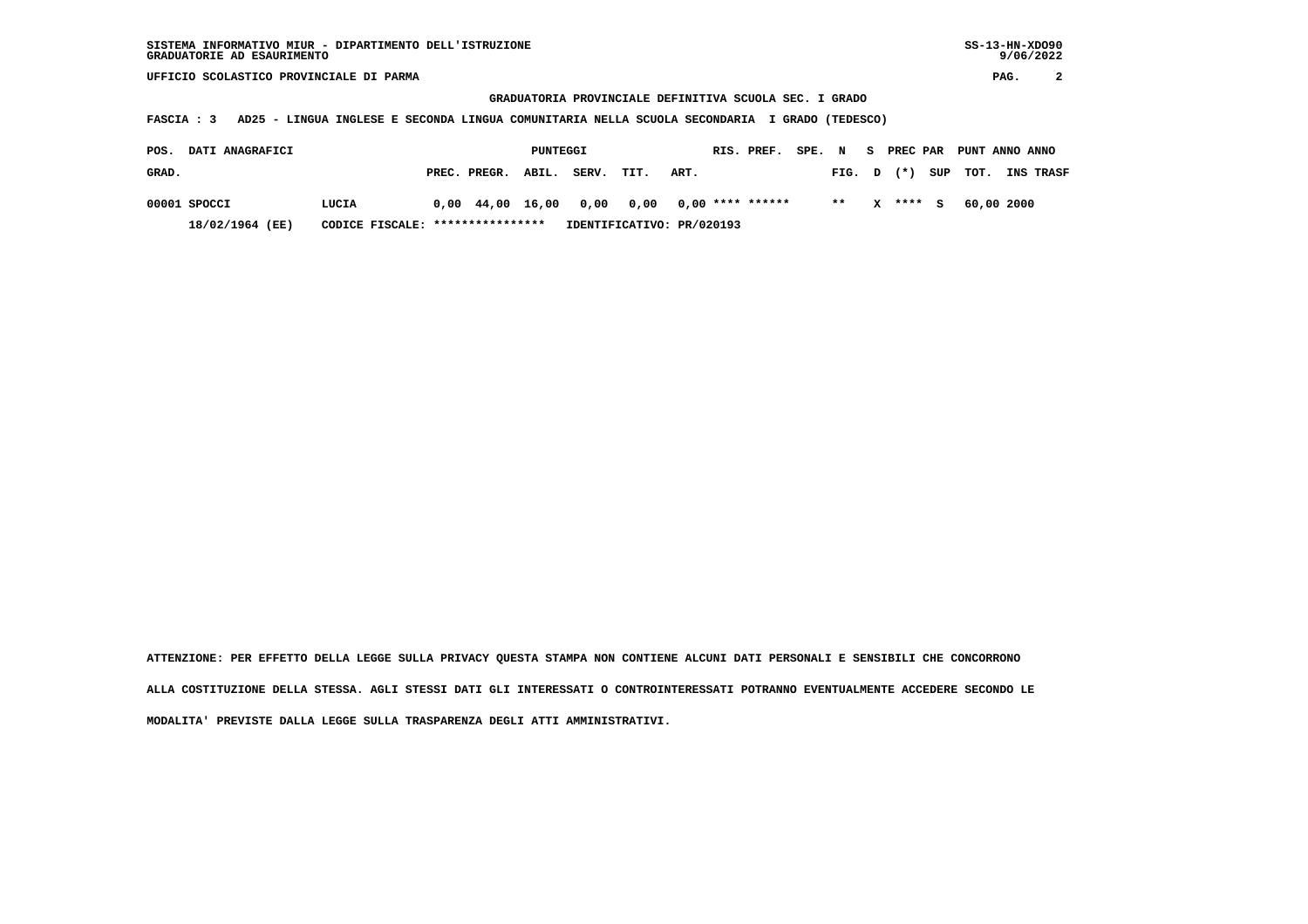**UFFICIO SCOLASTICO PROVINCIALE DI PARMA PAG. 2**

 **GRADUATORIA PROVINCIALE DEFINITIVA SCUOLA SEC. I GRADO**

 **FASCIA : 3 AD25 - LINGUA INGLESE E SECONDA LINGUA COMUNITARIA NELLA SCUOLA SECONDARIA I GRADO (TEDESCO)**

| POS.  | <b>DATI ANAGRAFICI</b> |                                  |  |                    | PUNTEGGI |                                                      |                           |      | RIS. PREF.       | SPE. N |        |              |         | PREC PAR PUNT ANNO ANNO |            |                  |
|-------|------------------------|----------------------------------|--|--------------------|----------|------------------------------------------------------|---------------------------|------|------------------|--------|--------|--------------|---------|-------------------------|------------|------------------|
| GRAD. |                        |                                  |  | PREC. PREGR. ABIL. |          | SERV.                                                | TIT.                      | ART. |                  |        | FIG. D |              | $(*)$   | SUP TOT.                |            | <b>INS TRASF</b> |
|       | 00001 SPOCCI           | LUCIA                            |  |                    |          | $0.00 \quad 44.00 \quad 16.00 \quad 0.00 \quad 0.00$ |                           |      | 0,00 **** ****** |        | $* *$  | $\mathbf{x}$ | $***$ S |                         | 60,00 2000 |                  |
|       | 18/02/1964 (EE)        | CODICE FISCALE: **************** |  |                    |          |                                                      | IDENTIFICATIVO: PR/020193 |      |                  |        |        |              |         |                         |            |                  |

 **ATTENZIONE: PER EFFETTO DELLA LEGGE SULLA PRIVACY QUESTA STAMPA NON CONTIENE ALCUNI DATI PERSONALI E SENSIBILI CHE CONCORRONO ALLA COSTITUZIONE DELLA STESSA. AGLI STESSI DATI GLI INTERESSATI O CONTROINTERESSATI POTRANNO EVENTUALMENTE ACCEDERE SECONDO LE MODALITA' PREVISTE DALLA LEGGE SULLA TRASPARENZA DEGLI ATTI AMMINISTRATIVI.**